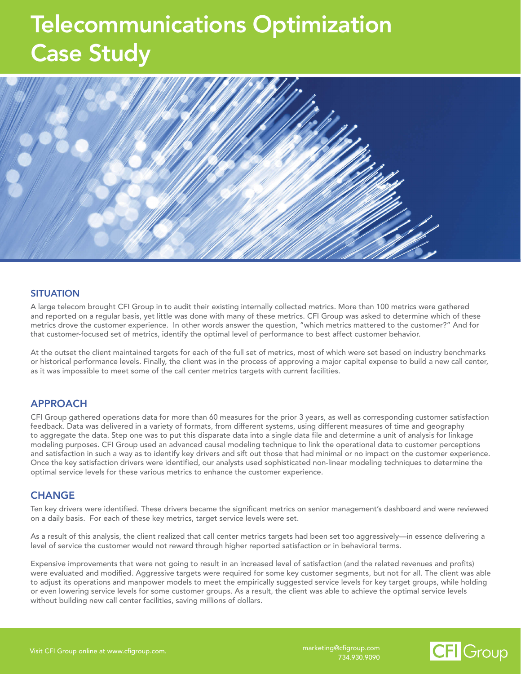## Telecommunications Optimization Case Study



#### **SITUATION**

A large telecom brought CFI Group in to audit their existing internally collected metrics. More than 100 metrics were gathered and reported on a regular basis, yet little was done with many of these metrics. CFI Group was asked to determine which of these metrics drove the customer experience. In other words answer the question, "which metrics mattered to the customer?" And for that customer-focused set of metrics, identify the optimal level of performance to best affect customer behavior.

At the outset the client maintained targets for each of the full set of metrics, most of which were set based on industry benchmarks or historical performance levels. Finally, the client was in the process of approving a major capital expense to build a new call center, as it was impossible to meet some of the call center metrics targets with current facilities.

#### APPROACH

and satisfaction in such a way as to identify key drivers and sift out those that had minimal or no impact on the customer experience. CFI Group gathered operations data for more than 60 measures for the prior 3 years, as well as corresponding customer satisfaction feedback. Data was delivered in a variety of formats, from different systems, using different measures of time and geography to aggregate the data. Step one was to put this disparate data into a single data file and determine a unit of analysis for linkage modeling purposes. CFI Group used an advanced causal modeling technique to link the operational data to customer perceptions Once the key satisfaction drivers were identified, our analysts used sophisticated non-linear modeling techniques to determine the optimal service levels for these various metrics to enhance the customer experience.

#### **CHANGE**

Ten key drivers were identified. These drivers became the significant metrics on senior management's dashboard and were reviewed on a daily basis. For each of these key metrics, target service levels were set.

As a result of this analysis, the client realized that call center metrics targets had been set too aggressively—in essence delivering a level of service the customer would not reward through higher reported satisfaction or in behavioral terms.

Expensive improvements that were not going to result in an increased level of satisfaction (and the related revenues and profits) were evaluated and modified. Aggressive targets were required for some key customer segments, but not for all. The client was able to adjust its operations and manpower models to meet the empirically suggested service levels for key target groups, while holding or even lowering service levels for some customer groups. As a result, the client was able to achieve the optimal service levels without building new call center facilities, saving millions of dollars.